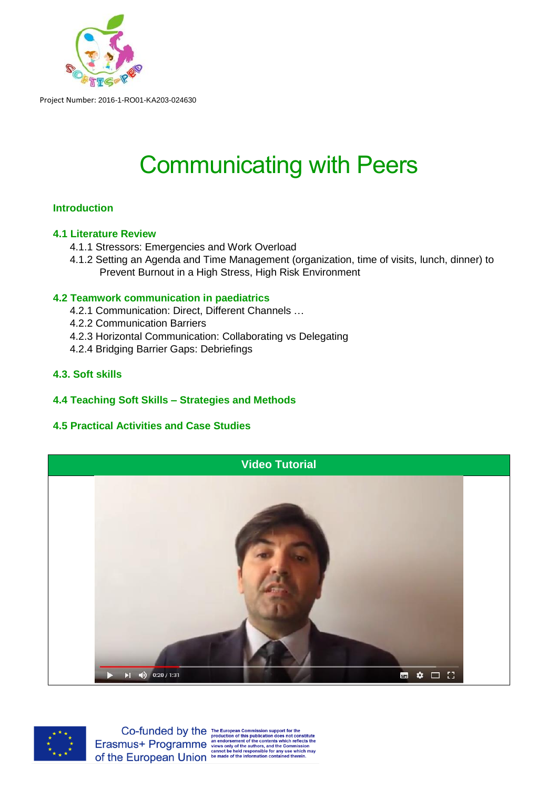

# Communicating with Peers

# **Introduction**

## **4.1 Literature Review**

- 4.1.1 Stressors: Emergencies and Work Overload
- 4.1.2 Setting an Agenda and Time Management (organization, time of visits, lunch, dinner) to Prevent Burnout in a High Stress, High Risk Environment

## **4.2 Teamwork communication in paediatrics**

- 4.2.1 Communication: Direct, Different Channels …
- 4.2.2 Communication Barriers
- 4.2.3 Horizontal Communication: Collaborating vs Delegating
- 4.2.4 Bridging Barrier Gaps: Debriefings
- **4.3. Soft skills**

## **4.4 Teaching Soft Skills – Strategies and Methods**

## **4.5 Practical Activities and Case Studies**





Co-funded by the The European Commission support<br>Erasmus+ Programme and enterpret of this publication do<br>with the contents of the contents of the contents of the contents of<br>the authors, and the contents of the authors, an Of the European Union be made of the information

hich reflects the rs, and the Con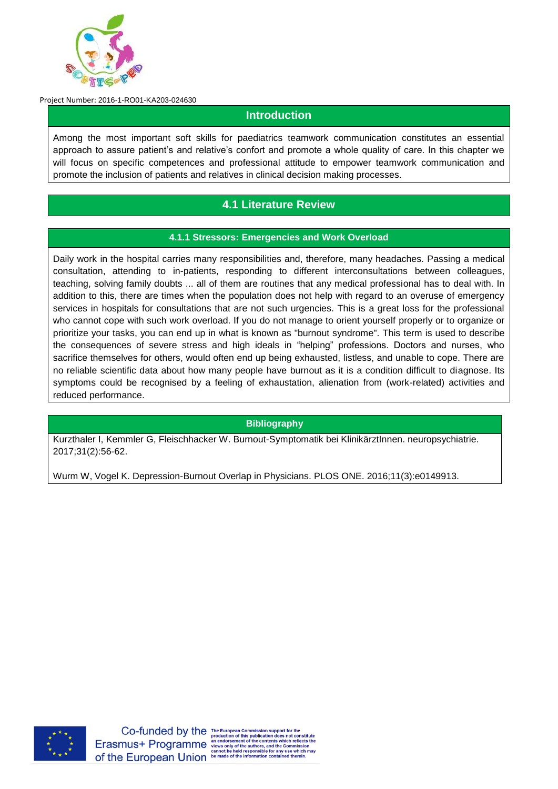

# **Introduction**

Among the most important soft skills for paediatrics teamwork communication constitutes an essential approach to assure patient's and relative's confort and promote a whole quality of care. In this chapter we will focus on specific competences and professional attitude to empower teamwork communication and promote the inclusion of patients and relatives in clinical decision making processes.

# **4.1 Literature Review**

## **4.1.1 Stressors: Emergencies and Work Overload**

Daily work in the hospital carries many responsibilities and, therefore, many headaches. Passing a medical consultation, attending to in-patients, responding to different interconsultations between colleagues, teaching, solving family doubts ... all of them are routines that any medical professional has to deal with. In addition to this, there are times when the population does not help with regard to an overuse of emergency services in hospitals for consultations that are not such urgencies. This is a great loss for the professional who cannot cope with such work overload. If you do not manage to orient yourself properly or to organize or prioritize your tasks, you can end up in what is known as "burnout syndrome". This term is used to describe the consequences of severe stress and high ideals in "helping" professions. Doctors and nurses, who sacrifice themselves for others, would often end up being exhausted, listless, and unable to cope. There are no reliable scientific data about how many people have burnout as it is a condition difficult to diagnose. Its symptoms could be recognised by a feeling of exhaustation, alienation from (work-related) activities and reduced performance.

## **Bibliography**

Kurzthaler I, Kemmler G, Fleischhacker W. Burnout-Symptomatik bei KlinikärztInnen. neuropsychiatrie. 2017;31(2):56-62.

Wurm W, Vogel K. Depression-Burnout Overlap in Physicians. PLOS ONE. 2016;11(3):e0149913.

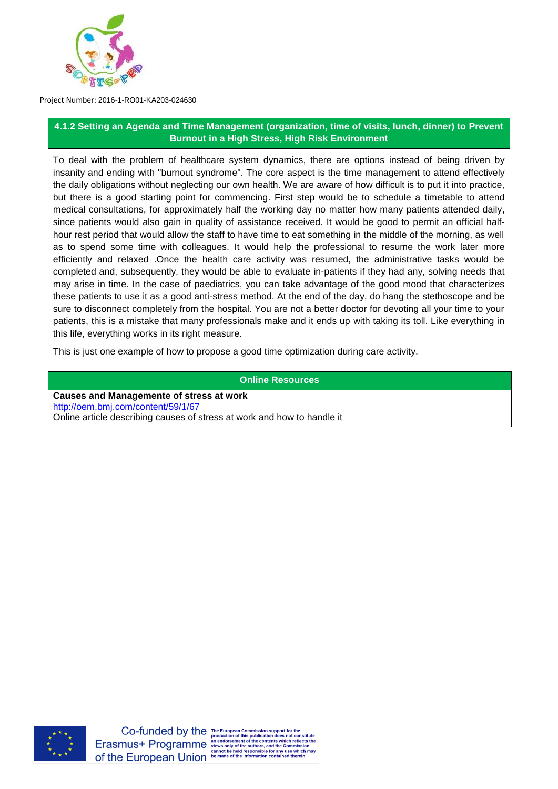

## **4.1.2 Setting an Agenda and Time Management (organization, time of visits, lunch, dinner) to Prevent Burnout in a High Stress, High Risk Environment**

To deal with the problem of healthcare system dynamics, there are options instead of being driven by insanity and ending with "burnout syndrome". The core aspect is the time management to attend effectively the daily obligations without neglecting our own health. We are aware of how difficult is to put it into practice, but there is a good starting point for commencing. First step would be to schedule a timetable to attend medical consultations, for approximately half the working day no matter how many patients attended daily, since patients would also gain in quality of assistance received. It would be good to permit an official halfhour rest period that would allow the staff to have time to eat something in the middle of the morning, as well as to spend some time with colleagues. It would help the professional to resume the work later more efficiently and relaxed .Once the health care activity was resumed, the administrative tasks would be completed and, subsequently, they would be able to evaluate in-patients if they had any, solving needs that may arise in time. In the case of paediatrics, you can take advantage of the good mood that characterizes these patients to use it as a good anti-stress method. At the end of the day, do hang the stethoscope and be sure to disconnect completely from the hospital. You are not a better doctor for devoting all your time to your patients, this is a mistake that many professionals make and it ends up with taking its toll. Like everything in this life, everything works in its right measure.

This is just one example of how to propose a good time optimization during care activity.

**Online Resources**

**Causes and Managemente of stress at work** <http://oem.bmj.com/content/59/1/67> Online article describing causes of stress at work and how to handle it



Co-funded by the The European Commission support for t Erasmus + Programme an endorsement of the contents which reflects the<br>Erasmus + Programme views only of the authors, and the Contents which reflects the<br>through the discussion of the discussion of the contents which reflec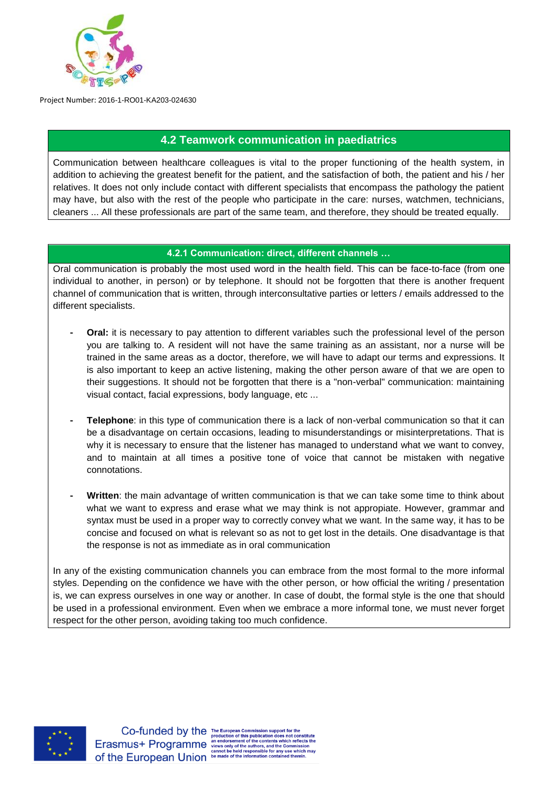

## **4.2 Teamwork communication in paediatrics**

Communication between healthcare colleagues is vital to the proper functioning of the health system, in addition to achieving the greatest benefit for the patient, and the satisfaction of both, the patient and his / her relatives. It does not only include contact with different specialists that encompass the pathology the patient may have, but also with the rest of the people who participate in the care: nurses, watchmen, technicians, cleaners ... All these professionals are part of the same team, and therefore, they should be treated equally.

## **4.2.1 Communication: direct, different channels …**

Oral communication is probably the most used word in the health field. This can be face-to-face (from one individual to another, in person) or by telephone. It should not be forgotten that there is another frequent channel of communication that is written, through interconsultative parties or letters / emails addressed to the different specialists.

- **Oral:** it is necessary to pay attention to different variables such the professional level of the person you are talking to. A resident will not have the same training as an assistant, nor a nurse will be trained in the same areas as a doctor, therefore, we will have to adapt our terms and expressions. It is also important to keep an active listening, making the other person aware of that we are open to their suggestions. It should not be forgotten that there is a "non-verbal" communication: maintaining visual contact, facial expressions, body language, etc ...
- **- Telephone**: in this type of communication there is a lack of non-verbal communication so that it can be a disadvantage on certain occasions, leading to misunderstandings or misinterpretations. That is why it is necessary to ensure that the listener has managed to understand what we want to convey, and to maintain at all times a positive tone of voice that cannot be mistaken with negative connotations.
- **- Written**: the main advantage of written communication is that we can take some time to think about what we want to express and erase what we may think is not appropiate. However, grammar and syntax must be used in a proper way to correctly convey what we want. In the same way, it has to be concise and focused on what is relevant so as not to get lost in the details. One disadvantage is that the response is not as immediate as in oral communication

In any of the existing communication channels you can embrace from the most formal to the more informal styles. Depending on the confidence we have with the other person, or how official the writing / presentation is, we can express ourselves in one way or another. In case of doubt, the formal style is the one that should be used in a professional environment. Even when we embrace a more informal tone, we must never forget respect for the other person, avoiding taking too much confidence.



nts which reflects the rs, and the Com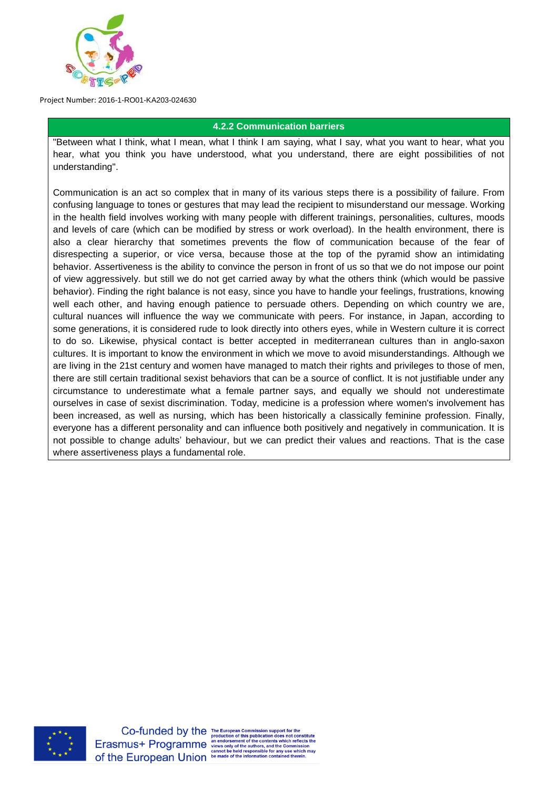

#### **4.2.2 Communication barriers**

"Between what I think, what I mean, what I think I am saying, what I say, what you want to hear, what you hear, what you think you have understood, what you understand, there are eight possibilities of not understanding".

Communication is an act so complex that in many of its various steps there is a possibility of failure. From confusing language to tones or gestures that may lead the recipient to misunderstand our message. Working in the health field involves working with many people with different trainings, personalities, cultures, moods and levels of care (which can be modified by stress or work overload). In the health environment, there is also a clear hierarchy that sometimes prevents the flow of communication because of the fear of disrespecting a superior, or vice versa, because those at the top of the pyramid show an intimidating behavior. Assertiveness is the ability to convince the person in front of us so that we do not impose our point of view aggressively. but still we do not get carried away by what the others think (which would be passive behavior). Finding the right balance is not easy, since you have to handle your feelings, frustrations, knowing well each other, and having enough patience to persuade others. Depending on which country we are, cultural nuances will influence the way we communicate with peers. For instance, in Japan, according to some generations, it is considered rude to look directly into others eyes, while in Western culture it is correct to do so. Likewise, physical contact is better accepted in mediterranean cultures than in anglo-saxon cultures. It is important to know the environment in which we move to avoid misunderstandings. Although we are living in the 21st century and women have managed to match their rights and privileges to those of men, there are still certain traditional sexist behaviors that can be a source of conflict. It is not justifiable under any circumstance to underestimate what a female partner says, and equally we should not underestimate ourselves in case of sexist discrimination. Today, medicine is a profession where women's involvement has been increased, as well as nursing, which has been historically a classically feminine profession. Finally, everyone has a different personality and can influence both positively and negatively in communication. It is not possible to change adults' behaviour, but we can predict their values and reactions. That is the case where assertiveness plays a fundamental role.



Co-funded by the The European Commission support for t Erasmus + Programme an endorsement of this publication does not constitute<br>Erasmus + Programme views only of the authors, and the Contents which reflects the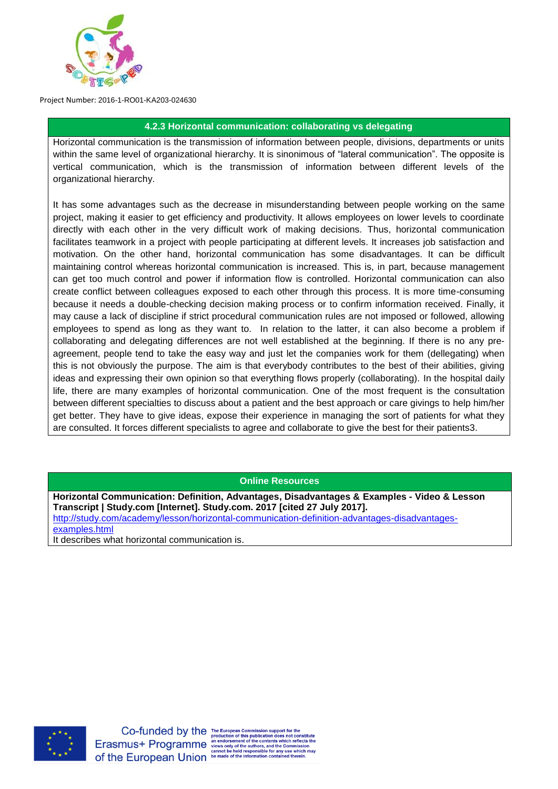

## **4.2.3 Horizontal communication: collaborating vs delegating**

Horizontal communication is the transmission of information between people, divisions, departments or units within the same level of organizational hierarchy. It is sinonimous of "lateral communication". The opposite is vertical communication, which is the transmission of information between different levels of the organizational hierarchy.

It has some advantages such as the decrease in misunderstanding between people working on the same project, making it easier to get efficiency and productivity. It allows employees on lower levels to coordinate directly with each other in the very difficult work of making decisions. Thus, horizontal communication facilitates teamwork in a project with people participating at different levels. It increases job satisfaction and motivation. On the other hand, horizontal communication has some disadvantages. It can be difficult maintaining control whereas horizontal communication is increased. This is, in part, because management can get too much control and power if information flow is controlled. Horizontal communication can also create conflict between colleagues exposed to each other through this process. It is more time-consuming because it needs a double-checking decision making process or to confirm information received. Finally, it may cause a lack of discipline if strict procedural communication rules are not imposed or followed, allowing employees to spend as long as they want to. In relation to the latter, it can also become a problem if collaborating and delegating differences are not well established at the beginning. If there is no any preagreement, people tend to take the easy way and just let the companies work for them (dellegating) when this is not obviously the purpose. The aim is that everybody contributes to the best of their abilities, giving ideas and expressing their own opinion so that everything flows properly (collaborating). In the hospital daily life, there are many examples of horizontal communication. One of the most frequent is the consultation between different specialties to discuss about a patient and the best approach or care givings to help him/her get better. They have to give ideas, expose their experience in managing the sort of patients for what they are consulted. It forces different specialists to agree and collaborate to give the best for their patients3.

**Online Resources**

**Horizontal Communication: Definition, Advantages, Disadvantages & Examples - Video & Lesson Transcript | Study.com [Internet]. Study.com. 2017 [cited 27 July 2017].**  [http://study.com/academy/lesson/horizontal-communication-definition-advantages-disadvantages](http://study.com/academy/lesson/horizontal-communication-definition-advantages-disadvantages-examples.html)[examples.html](http://study.com/academy/lesson/horizontal-communication-definition-advantages-disadvantages-examples.html) It describes what horizontal communication is.



Erasmus + Programme an endorsement of the contents which reflects the<br>Erasmus + Programme views only of the authors, and the Commission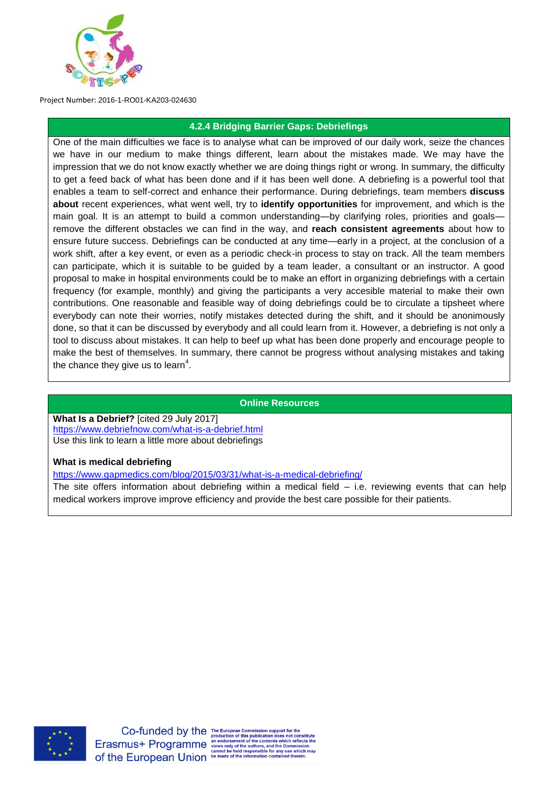

## **4.2.4 Bridging Barrier Gaps: Debriefings**

One of the main difficulties we face is to analyse what can be improved of our daily work, seize the chances we have in our medium to make things different, learn about the mistakes made. We may have the impression that we do not know exactly whether we are doing things right or wrong. In summary, the difficulty to get a feed back of what has been done and if it has been well done. A debriefing is a powerful tool that enables a team to self-correct and enhance their performance. During debriefings, team members **discuss about** recent experiences, what went well, try to **identify opportunities** for improvement, and which is the main goal. It is an attempt to build a common understanding—by clarifying roles, priorities and goals remove the different obstacles we can find in the way, and **reach consistent agreements** about how to ensure future success. Debriefings can be conducted at any time—early in a project, at the conclusion of a work shift, after a key event, or even as a periodic check-in process to stay on track. All the team members can participate, which it is suitable to be guided by a team leader, a consultant or an instructor. A good proposal to make in hospital environments could be to make an effort in organizing debriefings with a certain frequency (for example, monthly) and giving the participants a very accesible material to make their own contributions. One reasonable and feasible way of doing debriefings could be to circulate a tipsheet where everybody can note their worries, notify mistakes detected during the shift, and it should be anonimously done, so that it can be discussed by everybody and all could learn from it. However, a debriefing is not only a tool to discuss about mistakes. It can help to beef up what has been done properly and encourage people to make the best of themselves. In summary, there cannot be progress without analysing mistakes and taking the chance they give us to learn<sup>4</sup>.

## **Online Resources**

**What Is a Debrief?** [cited 29 July 2017] <https://www.debriefnow.com/what-is-a-debrief.html> Use this link to learn a little more about debriefings

## **What is medical debriefing**

## <https://www.gapmedics.com/blog/2015/03/31/what-is-a-medical-debriefing/>

The site offers information about debriefing within a medical field – i.e. reviewing events that can help medical workers improve improve efficiency and provide the best care possible for their patients.



Co-funded by the The European Commission support for t Erasmus + Programme an endorsement of this publication does not constitute<br>Erasmus + Programme views only of the authors, and the Contents which reflects the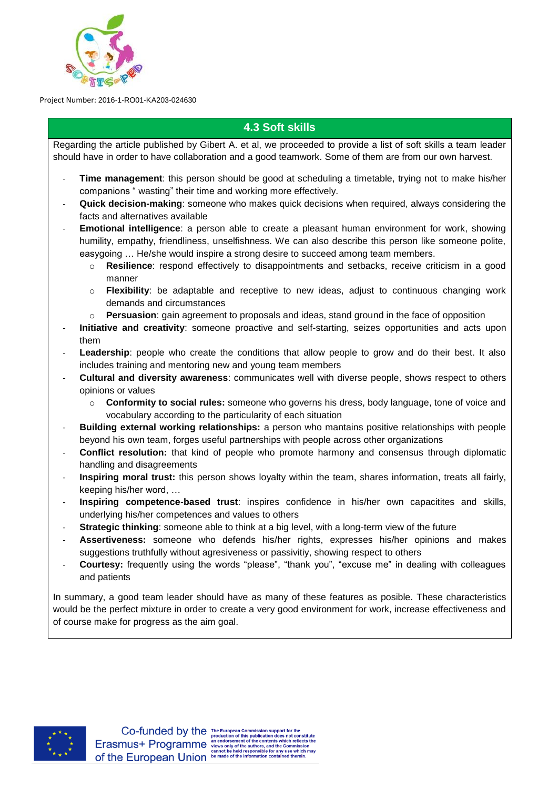

# **4.3 Soft skills**

Regarding the article published by Gibert A. et al, we proceeded to provide a list of soft skills a team leader should have in order to have collaboration and a good teamwork. Some of them are from our own harvest.

- Time management: this person should be good at scheduling a timetable, trying not to make his/her companions " wasting" their time and working more effectively.
- **Quick decision-making**: someone who makes quick decisions when required, always considering the facts and alternatives available
- **Emotional intelligence**: a person able to create a pleasant human environment for work, showing humility, empathy, friendliness, unselfishness. We can also describe this person like someone polite, easygoing … He/she would inspire a strong desire to succeed among team members.
	- o **Resilience**: respond effectively to disappointments and setbacks, receive criticism in a good manner
	- o **Flexibility**: be adaptable and receptive to new ideas, adjust to continuous changing work demands and circumstances
	- o **Persuasion**: gain agreement to proposals and ideas, stand ground in the face of opposition
- **Initiative and creativity**: someone proactive and self-starting, seizes opportunities and acts upon them
- Leadership: people who create the conditions that allow people to grow and do their best. It also includes training and mentoring new and young team members
- **Cultural and diversity awareness**: communicates well with diverse people, shows respect to others opinions or values
	- o **Conformity to social rules:** someone who governs his dress, body language, tone of voice and vocabulary according to the particularity of each situation
- **Building external working relationships:** a person who mantains positive relationships with people beyond his own team, forges useful partnerships with people across other organizations
- **Conflict resolution:** that kind of people who promote harmony and consensus through diplomatic handling and disagreements
- **Inspiring moral trust:** this person shows loyalty within the team, shares information, treats all fairly, keeping his/her word, …
- **Inspiring competence**-**based trust**: inspires confidence in his/her own capacitites and skills, underlying his/her competences and values to others
- **Strategic thinking**: someone able to think at a big level, with a long-term view of the future
- **Assertiveness:** someone who defends his/her rights, expresses his/her opinions and makes suggestions truthfully without agresiveness or passivitiy, showing respect to others
- **Courtesy:** frequently using the words "please", "thank you", "excuse me" in dealing with colleagues and patients

In summary, a good team leader should have as many of these features as posible. These characteristics would be the perfect mixture in order to create a very good environment for work, increase effectiveness and of course make for progress as the aim goal.

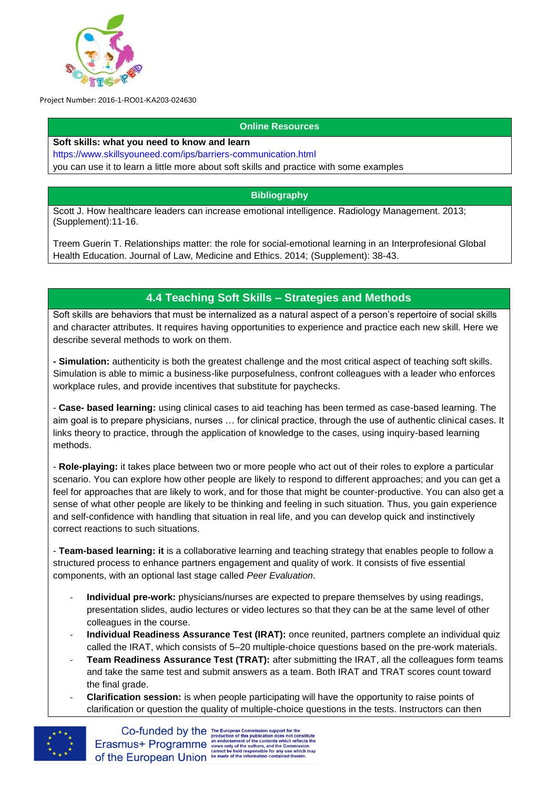

#### **Online Resources**

#### **Soft skills: what you need to know and learn**

<https://www.skillsyouneed.com/ips/barriers-communication.html>

you can use it to learn a little more about soft skills and practice with some examples

## **Bibliography**

Scott J. How healthcare leaders can increase emotional intelligence. Radiology Management. 2013; (Supplement):11-16.

Treem Guerin T. Relationships matter: the role for social-emotional learning in an Interprofesional Global Health Education. Journal of Law, Medicine and Ethics. 2014; (Supplement): 38-43.

# **4.4 Teaching Soft Skills – Strategies and Methods**

Soft skills are behaviors that must be internalized as a natural aspect of a person's repertoire of social skills and character attributes. It requires having opportunities to experience and practice each new skill. Here we describe several methods to work on them.

**- Simulation:** authenticity is both the greatest challenge and the most critical aspect of teaching soft skills. Simulation is able to mimic a business-like purposefulness, confront colleagues with a leader who enforces workplace rules, and provide incentives that substitute for paychecks.

- **Case- based learning:** using clinical cases to aid teaching has been termed as case-based learning. The aim goal is to prepare physicians, nurses … for clinical practice, through the use of authentic clinical cases. It links theory to practice, through the application of knowledge to the cases, using inquiry-based learning methods.

- **Role-playing:** it takes place between two or more people who act out of their roles to explore a particular scenario. You can explore how other people are likely to respond to different approaches; and you can get a feel for approaches that are likely to work, and for those that might be counter-productive. You can also get a sense of what other people are likely to be thinking and feeling in such situation. Thus, you gain experience and self-confidence with handling that situation in real life, and you can develop quick and instinctively correct reactions to such situations.

- **Team-based learning: it** is a collaborative learning and teaching strategy that enables people to follow a structured process to enhance partners engagement and quality of work. It consists of five essential components, with an optional last stage called *Peer Evaluation*.

- **Individual pre-work:** physicians/nurses are expected to prepare themselves by using readings, presentation slides, audio lectures or video lectures so that they can be at the same level of other colleagues in the course.
- **Individual Readiness Assurance Test (IRAT):** once reunited, partners complete an individual quiz called the IRAT, which consists of 5–20 multiple-choice questions based on the pre-work materials.
- **Team Readiness Assurance Test (TRAT):** after submitting the IRAT, all the colleagues form teams and take the same test and submit answers as a team. Both IRAT and TRAT scores count toward the final grade.
- **Clarification session:** is when people participating will have the opportunity to raise points of clarification or question the quality of multiple-choice questions in the tests. Instructors can then

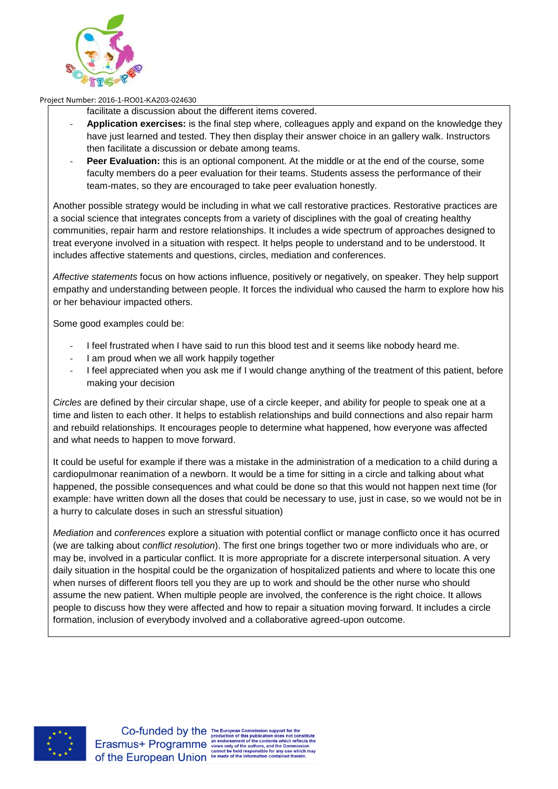

- facilitate a discussion about the different items covered.
	- **Application exercises:** is the final step where, colleagues apply and expand on the knowledge they have just learned and tested. They then display their answer choice in an gallery walk. Instructors then facilitate a discussion or debate among teams.
- **Peer Evaluation:** this is an optional component. At the middle or at the end of the course, some faculty members do a peer evaluation for their teams. Students assess the performance of their team-mates, so they are encouraged to take peer evaluation honestly.

Another possible strategy would be including in what we call restorative practices. Restorative practices are a social science that integrates concepts from a variety of disciplines with the goal of creating healthy communities, repair harm and restore relationships. It includes a wide spectrum of approaches designed to treat everyone involved in a situation with respect. It helps people to understand and to be understood. It includes affective statements and questions, circles, mediation and conferences.

*Affective statements* focus on how actions influence, positively or negatively, on speaker. They help support empathy and understanding between people. It forces the individual who caused the harm to explore how his or her behaviour impacted others.

Some good examples could be:

- I feel frustrated when I have said to run this blood test and it seems like nobody heard me.
- I am proud when we all work happily together
- I feel appreciated when you ask me if I would change anything of the treatment of this patient, before making your decision

*Circles* are defined by their circular shape, use of a circle keeper, and ability for people to speak one at a time and listen to each other. It helps to establish relationships and build connections and also repair harm and rebuild relationships. It encourages people to determine what happened, how everyone was affected and what needs to happen to move forward.

It could be useful for example if there was a mistake in the administration of a medication to a child during a cardiopulmonar reanimation of a newborn. It would be a time for sitting in a circle and talking about what happened, the possible consequences and what could be done so that this would not happen next time (for example: have written down all the doses that could be necessary to use, just in case, so we would not be in a hurry to calculate doses in such an stressful situation)

*Mediation* and *conferences* explore a situation with potential conflict or manage conflicto once it has ocurred (we are talking about *conflict resolution*). The first one brings together two or more individuals who are, or may be, involved in a particular conflict. It is more appropriate for a discrete interpersonal situation. A very daily situation in the hospital could be the organization of hospitalized patients and where to locate this one when nurses of different floors tell you they are up to work and should be the other nurse who should assume the new patient. When multiple people are involved, the conference is the right choice. It allows people to discuss how they were affected and how to repair a situation moving forward. It includes a circle formation, inclusion of everybody involved and a collaborative agreed-upon outcome.



nts which reflects the ors, and the Com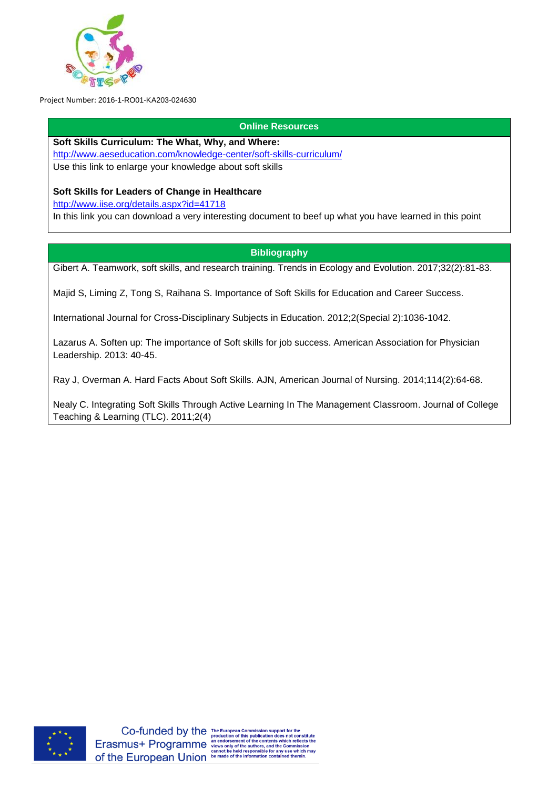

#### **Online Resources**

**Soft Skills Curriculum: The What, Why, and Where:**

<http://www.aeseducation.com/knowledge-center/soft-skills-curriculum/> Use this link to enlarge your knowledge about soft skills

#### **Soft Skills for Leaders of Change in Healthcare**

<http://www.iise.org/details.aspx?id=41718>

In this link you can download a very interesting document to beef up what you have learned in this point

#### **Bibliography**

Gibert A. Teamwork, soft skills, and research training. Trends in Ecology and Evolution. 2017;32(2):81-83.

Majid S, Liming Z, Tong S, Raihana S. Importance of Soft Skills for Education and Career Success.

International Journal for Cross-Disciplinary Subjects in Education. 2012;2(Special 2):1036-1042.

Lazarus A. Soften up: The importance of Soft skills for job success. American Association for Physician Leadership. 2013: 40-45.

Ray J, Overman A. Hard Facts About Soft Skills. AJN, American Journal of Nursing. 2014;114(2):64-68.

Nealy C. Integrating Soft Skills Through Active Learning In The Management Classroom. Journal of College Teaching & Learning (TLC). 2011;2(4)



Co-funded by the The European Commission support for the<br>
Erasmus + Programme an endosement of this publication does not constitute<br>
Erasmus + Programme views only of the authors, and the Commission<br>
State Commission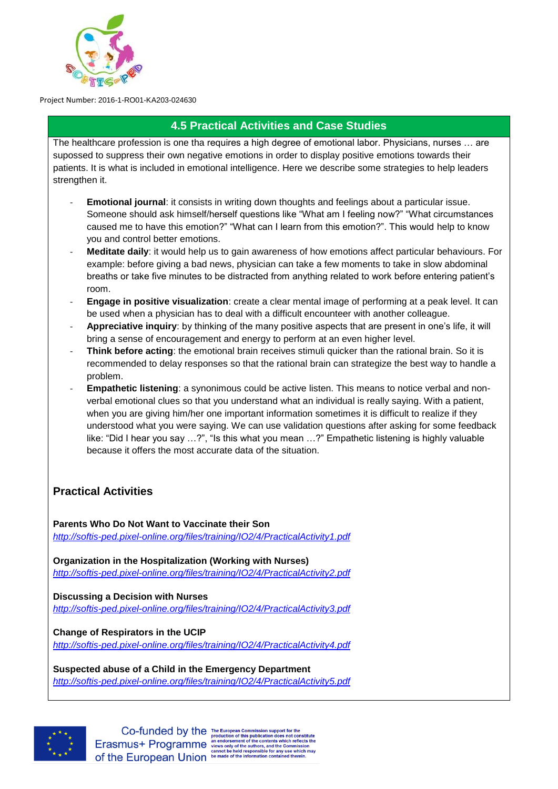

# **4.5 Practical Activities and Case Studies**

The healthcare profession is one tha requires a high degree of emotional labor. Physicians, nurses … are supossed to suppress their own negative emotions in order to display positive emotions towards their patients. It is what is included in emotional intelligence. Here we describe some strategies to help leaders strengthen it.

- **Emotional journal**: it consists in writing down thoughts and feelings about a particular issue. Someone should ask himself/herself questions like "What am I feeling now?" "What circumstances caused me to have this emotion?" "What can I learn from this emotion?". This would help to know you and control better emotions.
- **Meditate daily**: it would help us to gain awareness of how emotions affect particular behaviours. For example: before giving a bad news, physician can take a few moments to take in slow abdominal breaths or take five minutes to be distracted from anything related to work before entering patient's room.
- **Engage in positive visualization**: create a clear mental image of performing at a peak level. It can be used when a physician has to deal with a difficult encounteer with another colleague.
- **Appreciative inquiry**: by thinking of the many positive aspects that are present in one's life, it will bring a sense of encouragement and energy to perform at an even higher level.
- Think before acting: the emotional brain receives stimuli quicker than the rational brain. So it is recommended to delay responses so that the rational brain can strategize the best way to handle a problem.
- **Empathetic listening**: a synonimous could be active listen. This means to notice verbal and nonverbal emotional clues so that you understand what an individual is really saying. With a patient, when you are giving him/her one important information sometimes it is difficult to realize if they understood what you were saying. We can use validation questions after asking for some feedback like: "Did I hear you say …?", "Is this what you mean …?" Empathetic listening is highly valuable because it offers the most accurate data of the situation.

## **Practical Activities**

**Parents Who Do Not Want to Vaccinate their Son** *<http://softis-ped.pixel-online.org/files/training/IO2/4/PracticalActivity1.pdf>*

**Organization in the Hospitalization (Working with Nurses)** *<http://softis-ped.pixel-online.org/files/training/IO2/4/PracticalActivity2.pdf>*

**Discussing a Decision with Nurses**  *<http://softis-ped.pixel-online.org/files/training/IO2/4/PracticalActivity3.pdf>*

**Change of Respirators in the UCIP** *<http://softis-ped.pixel-online.org/files/training/IO2/4/PracticalActivity4.pdf>*

**Suspected abuse of a Child in the Emergency Department** *<http://softis-ped.pixel-online.org/files/training/IO2/4/PracticalActivity5.pdf>*



Co-funded by the The European Commission support for the<br>Erasmuss Interaction does not constitute<br>Erasmuss + Programme since an endorsement of the contents which reflects the<br>second to the authors, and the Commission CLASITIUST Programments of the authors, and the Commission<br>Of the European Union be held responsible for any use which may<br>of the European Union be made of the information contained therein.